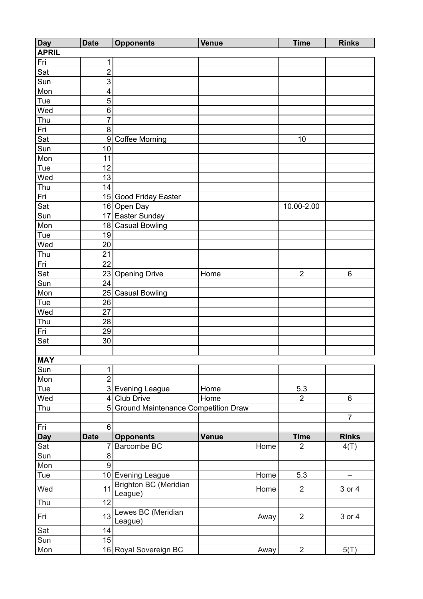| <b>Day</b>   | <b>Date</b>     | <b>Opponents</b>                    | <b>Venue</b> |      | <b>Time</b>    | <b>Rinks</b>   |
|--------------|-----------------|-------------------------------------|--------------|------|----------------|----------------|
| <b>APRIL</b> |                 |                                     |              |      |                |                |
| Fri          | 1               |                                     |              |      |                |                |
| Sat          | $\overline{2}$  |                                     |              |      |                |                |
| Sun          | 3               |                                     |              |      |                |                |
| Mon          | 4               |                                     |              |      |                |                |
| Tue          | $\overline{5}$  |                                     |              |      |                |                |
| Wed          | 6               |                                     |              |      |                |                |
| Thu          | $\overline{7}$  |                                     |              |      |                |                |
| Fri          | 8               |                                     |              |      |                |                |
| Sat          | 9               | <b>Coffee Morning</b>               |              |      | 10             |                |
| Sun          | 10              |                                     |              |      |                |                |
| Mon          | 11              |                                     |              |      |                |                |
| Tue          | 12              |                                     |              |      |                |                |
| Wed          | $\overline{13}$ |                                     |              |      |                |                |
| Thu          | 14              |                                     |              |      |                |                |
| Fri          |                 | 15 Good Friday Easter               |              |      |                |                |
| Sat          |                 |                                     |              |      | 10.00-2.00     |                |
|              |                 | 16 Open Day<br>17 Easter Sunday     |              |      |                |                |
| Sun          |                 |                                     |              |      |                |                |
| Mon          | 18              | <b>Casual Bowling</b>               |              |      |                |                |
| Tue          | 19              |                                     |              |      |                |                |
| Wed          | 20              |                                     |              |      |                |                |
| Thu          | $\overline{21}$ |                                     |              |      |                |                |
| Fri          | 22              |                                     |              |      |                |                |
| Sat          |                 | 23 Opening Drive                    | Home         |      | $\overline{2}$ | $6\phantom{1}$ |
| Sun          | $\overline{24}$ |                                     |              |      |                |                |
| Mon          |                 | 25 Casual Bowling                   |              |      |                |                |
| Tue          | 26              |                                     |              |      |                |                |
| Wed          | 27              |                                     |              |      |                |                |
| Thu          | 28              |                                     |              |      |                |                |
| Fri          | 29              |                                     |              |      |                |                |
| Sat          | 30              |                                     |              |      |                |                |
|              |                 |                                     |              |      |                |                |
| <b>MAY</b>   |                 |                                     |              |      |                |                |
| Sun          | 1               |                                     |              |      |                |                |
| Mon          | $\overline{2}$  |                                     |              |      |                |                |
| Tue          |                 | 3 Evening League                    | Home         |      | 5.3            |                |
| Wed          | 4               | Club Drive                          | Home         |      | $\overline{2}$ | 6              |
| Thu          | 5               | Ground Maintenance Competition Draw |              |      |                |                |
|              |                 |                                     |              |      |                | $\overline{7}$ |
| Fri          | 6               |                                     |              |      |                |                |
| <b>Day</b>   | <b>Date</b>     | <b>Opponents</b>                    | <b>Venue</b> |      | <b>Time</b>    | <b>Rinks</b>   |
| Sat          | 7               | Barcombe BC                         |              | Home | $\overline{2}$ | 4(T)           |
| Sun          | $\overline{8}$  |                                     |              |      |                |                |
| Mon          | $\overline{9}$  |                                     |              |      |                |                |
| Tue          |                 | 10 Evening League                   |              | Home | 5.3            |                |
|              |                 | <b>Brighton BC (Meridian</b>        |              |      |                |                |
| Wed          | 11              | League)                             |              | Home | 2              | 3 or 4         |
| Thu          | $\overline{12}$ |                                     |              |      |                |                |
| Fri          | 13              | Lewes BC (Meridian<br>League)       |              | Away | $\overline{2}$ | 3 or 4         |
| Sat          | 14              |                                     |              |      |                |                |
| Sun          | 15              |                                     |              |      |                |                |
| Mon          |                 | 16 Royal Sovereign BC               |              | Away | $\overline{2}$ | 5(T)           |
|              |                 |                                     |              |      |                |                |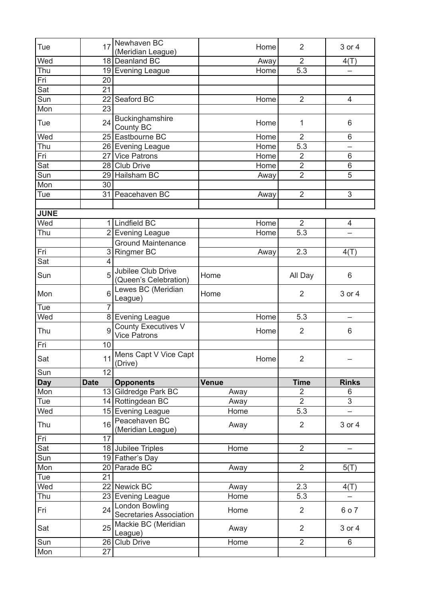|             | 17              | Newhaven BC<br>(Meridian League)                  | Home         | $\overline{2}$   | 3 or 4         |
|-------------|-----------------|---------------------------------------------------|--------------|------------------|----------------|
| Wed         | 18              | Deanland BC                                       | Away         | $\overline{2}$   | 4(T)           |
| Thu         |                 | 19 Evening League                                 | Home         | 5.3              |                |
| Fri         | 20              |                                                   |              |                  |                |
| Sat         | 21              |                                                   |              |                  |                |
| Sun         | 22              | Seaford BC                                        | Home         | $\overline{2}$   | 4              |
| Mon         | 23              |                                                   |              |                  |                |
| Tue         | 24              | Buckinghamshire<br>County BC                      | Home         | 1                | 6              |
| Wed         | 25              | Eastbourne BC                                     | Home         | $\overline{2}$   | 6              |
| Thu         |                 | 26 Evening League                                 | Home         | 5.3              |                |
| Fri         | 271             | <b>Vice Patrons</b>                               | Home         | $\overline{2}$   | 6              |
| Sat         | 28              | <b>Club Drive</b>                                 | Home         | $\overline{2}$   | 6              |
| Sun         | 29              | <b>Hailsham BC</b>                                | Away         | $\overline{2}$   | 5              |
| Mon         | 30              |                                                   |              |                  |                |
| Tue         |                 | 31 Peacehaven BC                                  | Away         | $\overline{2}$   | 3              |
|             |                 |                                                   |              |                  |                |
| <b>JUNE</b> |                 |                                                   |              |                  |                |
| Wed         | 1 <sup>1</sup>  | Lindfield BC                                      | Home         | $\overline{2}$   | 4              |
| Thu         | $\overline{2}$  | Evening League                                    | <b>Home</b>  | $5.\overline{3}$ |                |
|             |                 | <b>Ground Maintenance</b>                         |              |                  |                |
| Fri         | 3 <sup>1</sup>  | <b>Ringmer BC</b>                                 | Away         | 2.3              | 4(T)           |
| Sat         | 4               |                                                   |              |                  |                |
| Sun         | 5               | Jubilee Club Drive<br>(Queen's Celebration)       | Home         | All Day          | 6              |
| Mon         | 6               | Lewes BC (Meridian<br>League)                     | Home         | $\overline{2}$   | 3 or 4         |
| Tue         | $\overline{7}$  |                                                   |              |                  |                |
| Wed         | 8 <sup>1</sup>  | Evening League                                    | Home         | 5.3              |                |
| Thu         | 9               | <b>County Executives V</b><br><b>Vice Patrons</b> | Home         | $\overline{2}$   | 6              |
|             |                 |                                                   |              |                  |                |
| Fri         | 10              |                                                   |              |                  |                |
| Sat         |                 | 11 Mens Capt V Vice Capt                          | Home         | $\overline{2}$   |                |
| Sun         | $\overline{12}$ | (Drive)                                           |              |                  |                |
| <b>Day</b>  | <b>Date</b>     | <b>Opponents</b>                                  | <b>Venue</b> | <b>Time</b>      | <b>Rinks</b>   |
| Mon         |                 | 13 Gildredge Park BC                              | Away         | $\overline{2}$   | 6              |
| Tue         |                 | 14 Rottingdean BC                                 | Away         | $\overline{2}$   | $\overline{3}$ |
| Wed         |                 | 15 Evening League                                 | Home         | 5.3              |                |
| Thu         | 16              | Peacehaven BC<br>(Meridian League)                | Away         | $\overline{2}$   | 3 or 4         |
| Fri         | 17              |                                                   |              |                  |                |
| Sat         |                 | 18 Jubilee Triples                                | Home         | $\overline{2}$   |                |
| Sun         |                 | 19 Father's Day                                   |              |                  |                |
| Mon         |                 | 20 Parade BC                                      | Away         | $\overline{2}$   | 5(T)           |
| Tue         | 21              |                                                   |              |                  |                |
| Wed         |                 | 22 Newick BC                                      | Away         | 2.3              | 4(T)           |
| Thu         |                 |                                                   | Home         | 5.3              |                |
| Fri         | 24              | 23 Evening League<br>London Bowling               | Home         | $\overline{2}$   | 6 o 7          |
| Sat         | 25              | Secretaries Association<br>Mackie BC (Meridian    | Away         | $\overline{2}$   | 3 or 4         |
| Sun         | 26              | League)<br><b>Club Drive</b>                      | Home         | $\overline{2}$   | 6              |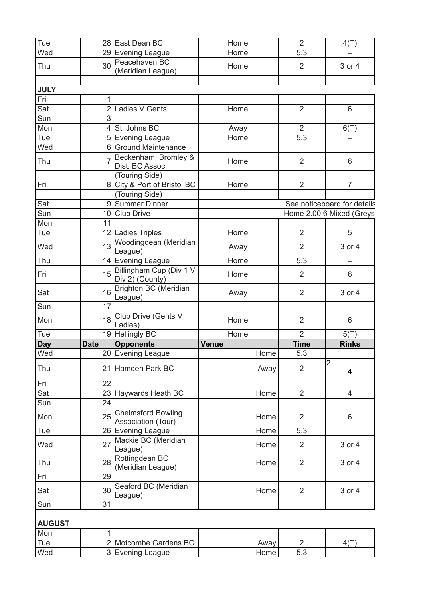| Tue           |                | 28 East Dean BC                                 | Home         | $\overline{2}$ | 4(T)                        |
|---------------|----------------|-------------------------------------------------|--------------|----------------|-----------------------------|
| Wed           |                | 29 Evening League                               | Home         | 5.3            |                             |
| Thu           | 30             | Peacehaven BC<br>(Meridian League)              | Home         | $\overline{2}$ | 3 or 4                      |
|               |                |                                                 |              |                |                             |
| <b>JULY</b>   |                |                                                 |              |                |                             |
| Fri           | 1.             |                                                 |              |                |                             |
| Sat           | $\overline{2}$ | Ladies V Gents                                  | Home         | $\overline{2}$ | 6                           |
| Sun           | $\overline{3}$ |                                                 |              |                |                             |
| Mon           |                | St. Johns BC                                    | Away         | $\overline{2}$ | 6(T)                        |
| Tue           |                | 5 Evening League                                | Home         | 5.3            |                             |
| Wed           | 6              | <b>Ground Maintenance</b>                       |              |                |                             |
| Thu           |                | Beckenham, Bromley &<br>Dist. BC Assoc          | Home         | $\overline{2}$ | 6                           |
|               |                | (Touring Side)                                  |              |                |                             |
| Fri           |                | 8 City & Port of Bristol BC                     | Home         | $\overline{2}$ | $\overline{7}$              |
|               |                | (Touring Side)                                  |              |                |                             |
| Sat           |                | 9 Summer Dinner                                 |              |                | See noticeboard for details |
| Sun           |                | 10 Club Drive                                   |              |                | Home 2.00 6 Mixed (Greys    |
| Mon           | 11             |                                                 |              |                |                             |
| Tue           |                | 12 Ladies Triples                               | Home         | $\overline{2}$ | 5                           |
| Wed           | 13             | Woodingdean (Meridian<br>League)                | Away         | $\overline{2}$ | 3 or 4                      |
| Thu           |                | 14 Evening League                               | Home         | 5.3            | —                           |
| Fri           | 15             | Billingham Cup (Div 1 V<br>Div 2) (County)      | Home         | $\overline{2}$ | 6                           |
| Sat           | 16             | <b>Brighton BC (Meridian</b><br>League)         | Away         | $\overline{2}$ | 3 or 4                      |
| Sun           | 17             |                                                 |              |                |                             |
| Mon           | 18             | Club Drive (Gents V<br>Ladies)                  | Home         | $\overline{2}$ | 6                           |
| Tue           |                | 19 Hellingly BC                                 | Home         | $\overline{2}$ | 5(T)                        |
| <b>Day</b>    | <b>Date</b>    | <b>Opponents</b>                                | <b>Venue</b> | <b>Time</b>    | <b>Rinks</b>                |
| Wed           |                | 20 Evening League                               | Home         | 5.3            |                             |
| Thu           |                | 21 Hamden Park BC                               | Away         | 2              | $\overline{c}$<br>4         |
| Fri           | 22             |                                                 |              |                |                             |
| Sat           | 23             | Haywards Heath BC                               | Home         | $\overline{2}$ | 4                           |
| Sun           | 24             |                                                 |              |                |                             |
| Mon           | 25             | <b>Chelmsford Bowling</b><br>Association (Tour) | Home         | $\overline{2}$ | 6                           |
| Tue           |                | 26 Evening League                               | Home         | 5.3            |                             |
| Wed           | 27             | Mackie BC (Meridian<br>League)                  | Home         | 2              | 3 or 4                      |
| Thu           | 28             | Rottingdean BC<br>(Meridian League)             | Home         | 2              | 3 or 4                      |
| Fri           | 29             |                                                 |              |                |                             |
| Sat           | 30             | Seaford BC (Meridian<br>League)                 | Home         | $\overline{2}$ | 3 or 4                      |
| Sun           | 31             |                                                 |              |                |                             |
|               |                |                                                 |              |                |                             |
| <b>AUGUST</b> |                |                                                 |              |                |                             |
| Mon           | 1              |                                                 |              |                |                             |
| Tue           |                | 2 Motcombe Gardens BC                           | Away         | 2              | 4(T)                        |
|               |                | 3 Evening League                                | Home         | 5.3            |                             |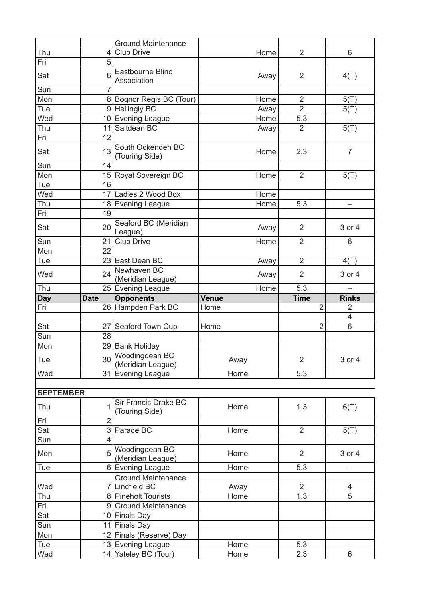| Thu<br><b>Club Drive</b><br>$\overline{2}$<br>6<br>Home<br>4<br>$\overline{5}$<br>Fri<br>Eastbourne Blind<br>6<br>Sat<br>$\overline{2}$<br>4(T)<br>Away<br>Association<br>Sun<br>$\overline{7}$<br>Mon<br>8 Bognor Regis BC (Tour)<br>$\overline{2}$<br>5(T)<br>Home<br>9 Hellingly BC<br>Tue<br>$\overline{2}$<br>Away<br>5(T)<br>Wed<br>10 Evening League<br>5.3<br>Home<br>11 Saltdean BC<br>$\overline{2}$<br>5(T)<br>Thu<br>Away<br>Fri<br>12<br>South Ockenden BC<br>13<br>Sat<br>$\overline{7}$<br>2.3<br>Home<br>(Touring Side)<br>Sun<br>14<br>Mon<br>15 Royal Sovereign BC<br>Home<br>$\overline{2}$<br>5(T)<br>16<br>Tue<br>Wed<br>17 Ladies 2 Wood Box<br>Home<br>Thu<br>5.3<br>18 Evening League<br>Home<br>-<br>19<br>Fri<br>Seaford BC (Meridian<br>20<br>Sat<br>$\overline{2}$<br>3 or 4<br>Away<br>League)<br>Sun<br>21<br><b>Club Drive</b><br>$\overline{2}$<br>Home<br>6<br>Mon<br>22<br>23 East Dean BC<br>$\overline{2}$<br>4(T)<br>Tue<br>Away<br>Newhaven BC<br>24<br>Wed<br>$\overline{2}$<br>3 or 4<br>Away<br>(Meridian League)<br>Thu<br>5.3<br>25 Evening League<br>Home<br><b>Opponents</b><br><b>Rinks</b><br><b>Date</b><br>Venue<br><b>Time</b><br><b>Day</b><br>26 Hampden Park BC<br>$\overline{2}$<br>Fri<br>$\overline{2}$<br>Home<br>$\overline{4}$<br>$\overline{2}$<br>Sat<br>27 Seaford Town Cup<br>6<br>Home<br>28<br>Sun<br>29 Bank Holiday<br>Mon<br>Woodingdean BC<br>30 <sup>°</sup><br>$\overline{2}$<br>Tue<br>3 or 4<br>Away<br>(Meridian League)<br>Wed<br>31 Evening League<br>5.3<br>Home |  | <b>Ground Maintenance</b> |  |  |
|-----------------------------------------------------------------------------------------------------------------------------------------------------------------------------------------------------------------------------------------------------------------------------------------------------------------------------------------------------------------------------------------------------------------------------------------------------------------------------------------------------------------------------------------------------------------------------------------------------------------------------------------------------------------------------------------------------------------------------------------------------------------------------------------------------------------------------------------------------------------------------------------------------------------------------------------------------------------------------------------------------------------------------------------------------------------------------------------------------------------------------------------------------------------------------------------------------------------------------------------------------------------------------------------------------------------------------------------------------------------------------------------------------------------------------------------------------------------------------------------------------------------------------------------------|--|---------------------------|--|--|
|                                                                                                                                                                                                                                                                                                                                                                                                                                                                                                                                                                                                                                                                                                                                                                                                                                                                                                                                                                                                                                                                                                                                                                                                                                                                                                                                                                                                                                                                                                                                               |  |                           |  |  |
|                                                                                                                                                                                                                                                                                                                                                                                                                                                                                                                                                                                                                                                                                                                                                                                                                                                                                                                                                                                                                                                                                                                                                                                                                                                                                                                                                                                                                                                                                                                                               |  |                           |  |  |
|                                                                                                                                                                                                                                                                                                                                                                                                                                                                                                                                                                                                                                                                                                                                                                                                                                                                                                                                                                                                                                                                                                                                                                                                                                                                                                                                                                                                                                                                                                                                               |  |                           |  |  |
|                                                                                                                                                                                                                                                                                                                                                                                                                                                                                                                                                                                                                                                                                                                                                                                                                                                                                                                                                                                                                                                                                                                                                                                                                                                                                                                                                                                                                                                                                                                                               |  |                           |  |  |
|                                                                                                                                                                                                                                                                                                                                                                                                                                                                                                                                                                                                                                                                                                                                                                                                                                                                                                                                                                                                                                                                                                                                                                                                                                                                                                                                                                                                                                                                                                                                               |  |                           |  |  |
|                                                                                                                                                                                                                                                                                                                                                                                                                                                                                                                                                                                                                                                                                                                                                                                                                                                                                                                                                                                                                                                                                                                                                                                                                                                                                                                                                                                                                                                                                                                                               |  |                           |  |  |
|                                                                                                                                                                                                                                                                                                                                                                                                                                                                                                                                                                                                                                                                                                                                                                                                                                                                                                                                                                                                                                                                                                                                                                                                                                                                                                                                                                                                                                                                                                                                               |  |                           |  |  |
|                                                                                                                                                                                                                                                                                                                                                                                                                                                                                                                                                                                                                                                                                                                                                                                                                                                                                                                                                                                                                                                                                                                                                                                                                                                                                                                                                                                                                                                                                                                                               |  |                           |  |  |
|                                                                                                                                                                                                                                                                                                                                                                                                                                                                                                                                                                                                                                                                                                                                                                                                                                                                                                                                                                                                                                                                                                                                                                                                                                                                                                                                                                                                                                                                                                                                               |  |                           |  |  |
|                                                                                                                                                                                                                                                                                                                                                                                                                                                                                                                                                                                                                                                                                                                                                                                                                                                                                                                                                                                                                                                                                                                                                                                                                                                                                                                                                                                                                                                                                                                                               |  |                           |  |  |
|                                                                                                                                                                                                                                                                                                                                                                                                                                                                                                                                                                                                                                                                                                                                                                                                                                                                                                                                                                                                                                                                                                                                                                                                                                                                                                                                                                                                                                                                                                                                               |  |                           |  |  |
|                                                                                                                                                                                                                                                                                                                                                                                                                                                                                                                                                                                                                                                                                                                                                                                                                                                                                                                                                                                                                                                                                                                                                                                                                                                                                                                                                                                                                                                                                                                                               |  |                           |  |  |
|                                                                                                                                                                                                                                                                                                                                                                                                                                                                                                                                                                                                                                                                                                                                                                                                                                                                                                                                                                                                                                                                                                                                                                                                                                                                                                                                                                                                                                                                                                                                               |  |                           |  |  |
|                                                                                                                                                                                                                                                                                                                                                                                                                                                                                                                                                                                                                                                                                                                                                                                                                                                                                                                                                                                                                                                                                                                                                                                                                                                                                                                                                                                                                                                                                                                                               |  |                           |  |  |
|                                                                                                                                                                                                                                                                                                                                                                                                                                                                                                                                                                                                                                                                                                                                                                                                                                                                                                                                                                                                                                                                                                                                                                                                                                                                                                                                                                                                                                                                                                                                               |  |                           |  |  |
|                                                                                                                                                                                                                                                                                                                                                                                                                                                                                                                                                                                                                                                                                                                                                                                                                                                                                                                                                                                                                                                                                                                                                                                                                                                                                                                                                                                                                                                                                                                                               |  |                           |  |  |
|                                                                                                                                                                                                                                                                                                                                                                                                                                                                                                                                                                                                                                                                                                                                                                                                                                                                                                                                                                                                                                                                                                                                                                                                                                                                                                                                                                                                                                                                                                                                               |  |                           |  |  |
|                                                                                                                                                                                                                                                                                                                                                                                                                                                                                                                                                                                                                                                                                                                                                                                                                                                                                                                                                                                                                                                                                                                                                                                                                                                                                                                                                                                                                                                                                                                                               |  |                           |  |  |
|                                                                                                                                                                                                                                                                                                                                                                                                                                                                                                                                                                                                                                                                                                                                                                                                                                                                                                                                                                                                                                                                                                                                                                                                                                                                                                                                                                                                                                                                                                                                               |  |                           |  |  |
|                                                                                                                                                                                                                                                                                                                                                                                                                                                                                                                                                                                                                                                                                                                                                                                                                                                                                                                                                                                                                                                                                                                                                                                                                                                                                                                                                                                                                                                                                                                                               |  |                           |  |  |
|                                                                                                                                                                                                                                                                                                                                                                                                                                                                                                                                                                                                                                                                                                                                                                                                                                                                                                                                                                                                                                                                                                                                                                                                                                                                                                                                                                                                                                                                                                                                               |  |                           |  |  |
|                                                                                                                                                                                                                                                                                                                                                                                                                                                                                                                                                                                                                                                                                                                                                                                                                                                                                                                                                                                                                                                                                                                                                                                                                                                                                                                                                                                                                                                                                                                                               |  |                           |  |  |
|                                                                                                                                                                                                                                                                                                                                                                                                                                                                                                                                                                                                                                                                                                                                                                                                                                                                                                                                                                                                                                                                                                                                                                                                                                                                                                                                                                                                                                                                                                                                               |  |                           |  |  |
|                                                                                                                                                                                                                                                                                                                                                                                                                                                                                                                                                                                                                                                                                                                                                                                                                                                                                                                                                                                                                                                                                                                                                                                                                                                                                                                                                                                                                                                                                                                                               |  |                           |  |  |
|                                                                                                                                                                                                                                                                                                                                                                                                                                                                                                                                                                                                                                                                                                                                                                                                                                                                                                                                                                                                                                                                                                                                                                                                                                                                                                                                                                                                                                                                                                                                               |  |                           |  |  |
|                                                                                                                                                                                                                                                                                                                                                                                                                                                                                                                                                                                                                                                                                                                                                                                                                                                                                                                                                                                                                                                                                                                                                                                                                                                                                                                                                                                                                                                                                                                                               |  |                           |  |  |
|                                                                                                                                                                                                                                                                                                                                                                                                                                                                                                                                                                                                                                                                                                                                                                                                                                                                                                                                                                                                                                                                                                                                                                                                                                                                                                                                                                                                                                                                                                                                               |  |                           |  |  |
|                                                                                                                                                                                                                                                                                                                                                                                                                                                                                                                                                                                                                                                                                                                                                                                                                                                                                                                                                                                                                                                                                                                                                                                                                                                                                                                                                                                                                                                                                                                                               |  |                           |  |  |
|                                                                                                                                                                                                                                                                                                                                                                                                                                                                                                                                                                                                                                                                                                                                                                                                                                                                                                                                                                                                                                                                                                                                                                                                                                                                                                                                                                                                                                                                                                                                               |  |                           |  |  |
|                                                                                                                                                                                                                                                                                                                                                                                                                                                                                                                                                                                                                                                                                                                                                                                                                                                                                                                                                                                                                                                                                                                                                                                                                                                                                                                                                                                                                                                                                                                                               |  |                           |  |  |

| TEMBEI<br>־נ |
|--------------|
|--------------|

| Thu |                | Sir Francis Drake BC<br>(Touring Side) | Home | 1.3            | 6(T)   |
|-----|----------------|----------------------------------------|------|----------------|--------|
| Fri | $\overline{2}$ |                                        |      |                |        |
| Sat | 3              | Parade BC                              | Home | $\overline{2}$ | 5(T)   |
| Sun | 4              |                                        |      |                |        |
| Mon | 5              | Woodingdean BC<br>(Meridian League)    | Home | $\overline{2}$ | 3 or 4 |
| Tue | 6              | <b>Evening League</b>                  | Home | 5.3            |        |
|     |                | <b>Ground Maintenance</b>              |      |                |        |
| Wed |                | Lindfield BC                           | Away | $\overline{2}$ | 4      |
| Thu | 8 <sup>1</sup> | <b>Pineholt Tourists</b>               | Home | 1.3            | 5      |
| Fri | 9              | <b>Ground Maintenance</b>              |      |                |        |
| Sat |                | 10 Finals Day                          |      |                |        |
| Sun | 11             | <b>Finals Day</b>                      |      |                |        |
| Mon |                | 12 Finals (Reserve) Day                |      |                |        |
| Tue |                | 13 Evening League                      | Home | 5.3            |        |
| Wed |                | 14 Yateley BC (Tour)                   | Home | 2.3            | 6      |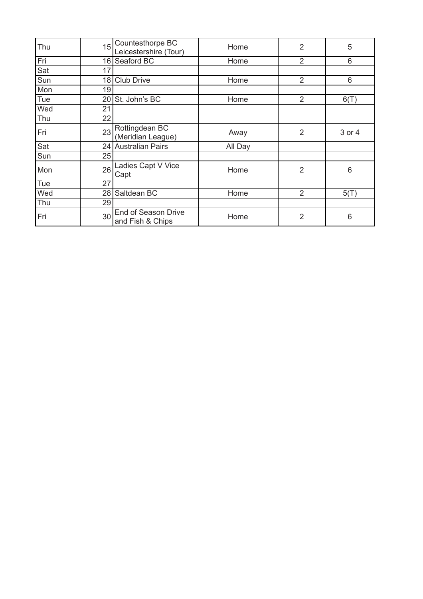| Thu | 15 | Countesthorpe BC<br>Leicestershire (Tour) | Home    | $\overline{2}$ | 5      |
|-----|----|-------------------------------------------|---------|----------------|--------|
| Fri | 16 | Seaford BC                                | Home    | $\overline{2}$ | 6      |
| Sat | 17 |                                           |         |                |        |
| Sun | 18 | <b>Club Drive</b>                         | Home    | $\overline{2}$ | 6      |
| Mon | 19 |                                           |         |                |        |
| Tue | 20 | St. John's BC                             | Home    | $\overline{2}$ | 6(T)   |
| Wed | 21 |                                           |         |                |        |
| Thu | 22 |                                           |         |                |        |
| Fri | 23 | Rottingdean BC<br>(Meridian League)       | Away    | $\overline{2}$ | 3 or 4 |
| Sat | 24 | <b>Australian Pairs</b>                   | All Day |                |        |
| Sun | 25 |                                           |         |                |        |
| Mon | 26 | Ladies Capt V Vice<br>Capt                | Home    | $\overline{2}$ | 6      |
| Tue | 27 |                                           |         |                |        |
| Wed | 28 | Saltdean BC                               | Home    | $\overline{2}$ | 5(T)   |
| Thu | 29 |                                           |         |                |        |
| Fri | 30 | End of Season Drive<br>and Fish & Chips   | Home    | $\overline{2}$ | 6      |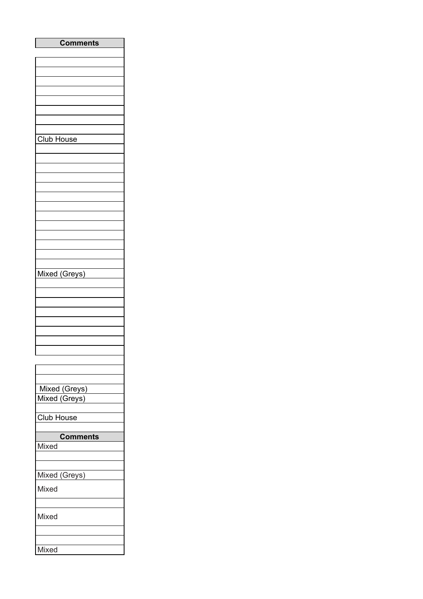| <b>Comments</b> |
|-----------------|
|                 |
|                 |
|                 |
|                 |
|                 |
|                 |
|                 |
|                 |
| Club House      |
|                 |
|                 |
|                 |
|                 |
|                 |
|                 |
|                 |
|                 |
|                 |
|                 |
|                 |
|                 |
| Mixed (Greys)   |
|                 |
|                 |
|                 |
|                 |
|                 |
|                 |
|                 |
|                 |
|                 |
|                 |
| Mixed (Greys)   |
| Mixed (Greys)   |
|                 |
| Club House      |
|                 |
| <b>Comments</b> |
| Mixed           |
|                 |
|                 |
| Mixed (Greys)   |
| Mixed           |
|                 |
|                 |
| Mixed           |
|                 |
|                 |
| Mixed           |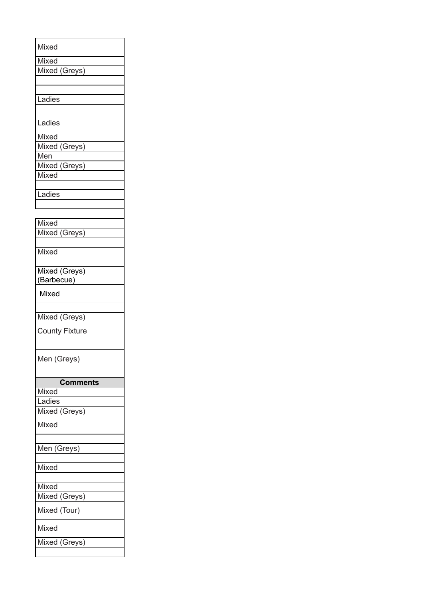| Mixed                       |
|-----------------------------|
| Mixed                       |
| Mixed (Greys)               |
|                             |
|                             |
| Ladies                      |
|                             |
| Ladies                      |
| Mixed                       |
| Mixed (Greys)               |
| Men                         |
|                             |
| Mixed (Greys)               |
| Mixed                       |
|                             |
| Ladies                      |
|                             |
|                             |
| Mixed                       |
| Mixed (Greys)               |
|                             |
| Mixed                       |
|                             |
| Mixed (Greys)<br>(Barbecue) |
| Mixed                       |
|                             |
|                             |
| Mixed (Greys)               |
| <b>County Fixture</b>       |
|                             |
|                             |
| Men (Greys)                 |
|                             |
|                             |
| <b>Comments</b>             |
| Mixed                       |
| Ladies                      |
| Mixed (Greys)               |
| Mixed                       |
|                             |
| Men (Greys)                 |
|                             |
| Mixed                       |
|                             |
| Mixed                       |
| Mixed (Greys)               |
|                             |
| Mixed (Tour)                |
| Mixed                       |
| Mixed (Greys)               |
|                             |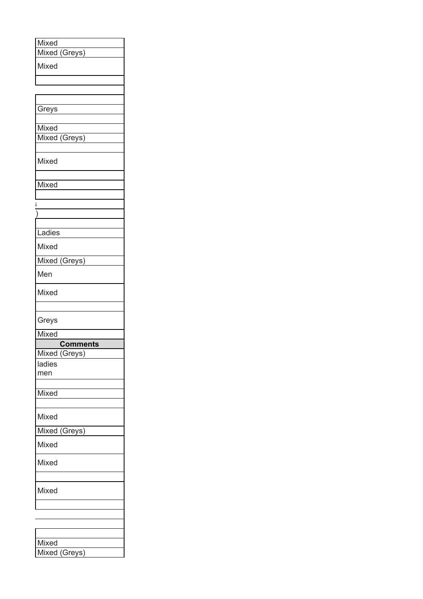| Mixed                  |
|------------------------|
| Mixed (Greys)          |
| Mixed                  |
|                        |
|                        |
|                        |
| Greys                  |
|                        |
| Mixed                  |
| Mixed (Greys)          |
| Mixed                  |
|                        |
| Mixed                  |
|                        |
|                        |
|                        |
| Ladies                 |
| Mixed                  |
| Mixed (Greys)          |
| Men                    |
| Mixed                  |
|                        |
| Greys                  |
|                        |
| Mixed                  |
| <b>Comments</b>        |
| Mixed (Greys)          |
| ladies                 |
| men                    |
|                        |
| Mixed                  |
| Mixed                  |
|                        |
| Mixed (Greys)<br>Mixed |
| Mixed                  |
|                        |
| Mixed                  |
|                        |
|                        |
|                        |
|                        |
| Mixed<br>Mixed (Greys) |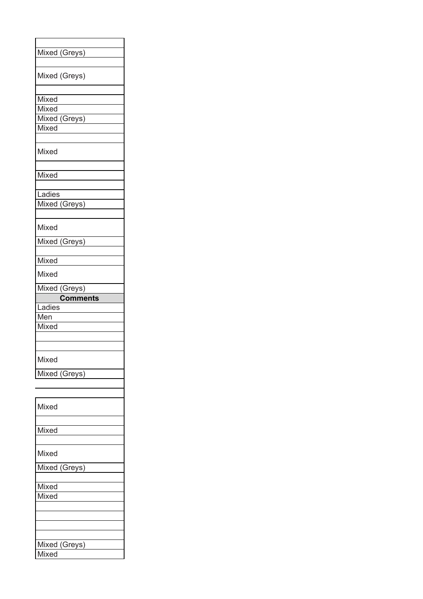| Mixed (Greys)   |
|-----------------|
|                 |
| Mixed (Greys)   |
|                 |
| Mixed           |
| Mixed           |
| Mixed (Greys)   |
| Mixed           |
|                 |
| Mixed           |
|                 |
| Mixed           |
|                 |
| Ladies          |
| Mixed (Greys)   |
|                 |
| Mixed           |
| Mixed (Greys)   |
|                 |
| Mixed           |
| Mixed           |
| Mixed (Greys)   |
|                 |
| <b>Comments</b> |
| Ladies          |
| Men             |
| Mixed           |
|                 |
|                 |
| Mixed           |
|                 |
| Mixed (Greys)   |
|                 |
| Mixed           |
|                 |
| Mixed           |
|                 |
| Mixed           |
| Mixed (Greys)   |
|                 |
| Mixed           |
| Mixed           |
|                 |
|                 |
|                 |
|                 |
| Mixed (Greys)   |